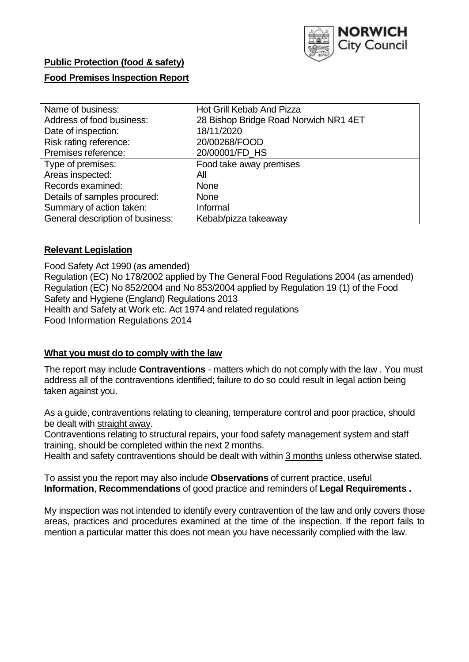

# **Public Protection (food & safety)**

## **Food Premises Inspection Report**

| Name of business:                | Hot Grill Kebab And Pizza             |
|----------------------------------|---------------------------------------|
| Address of food business:        | 28 Bishop Bridge Road Norwich NR1 4ET |
| Date of inspection:              | 18/11/2020                            |
| Risk rating reference:           | 20/00268/FOOD                         |
| Premises reference:              | 20/00001/FD HS                        |
| Type of premises:                | Food take away premises               |
| Areas inspected:                 | All                                   |
| Records examined:                | <b>None</b>                           |
| Details of samples procured:     | <b>None</b>                           |
| Summary of action taken:         | Informal                              |
| General description of business: | Kebab/pizza takeaway                  |

## **Relevant Legislation**

 Food Safety Act 1990 (as amended) Regulation (EC) No 178/2002 applied by The General Food Regulations 2004 (as amended) Regulation (EC) No 852/2004 and No 853/2004 applied by Regulation 19 (1) of the Food Safety and Hygiene (England) Regulations 2013 Health and Safety at Work etc. Act 1974 and related regulations Food Information Regulations 2014

## **What you must do to comply with the law**

 The report may include **Contraventions** - matters which do not comply with the law . You must address all of the contraventions identified; failure to do so could result in legal action being taken against you.

 As a guide, contraventions relating to cleaning, temperature control and poor practice, should be dealt with straight away.

 Contraventions relating to structural repairs, your food safety management system and staff training, should be completed within the next 2 months.

Health and safety contraventions should be dealt with within 3 months unless otherwise stated.

 To assist you the report may also include **Observations** of current practice, useful **Information**, **Recommendations** of good practice and reminders of **Legal Requirements .** 

 My inspection was not intended to identify every contravention of the law and only covers those areas, practices and procedures examined at the time of the inspection. If the report fails to mention a particular matter this does not mean you have necessarily complied with the law.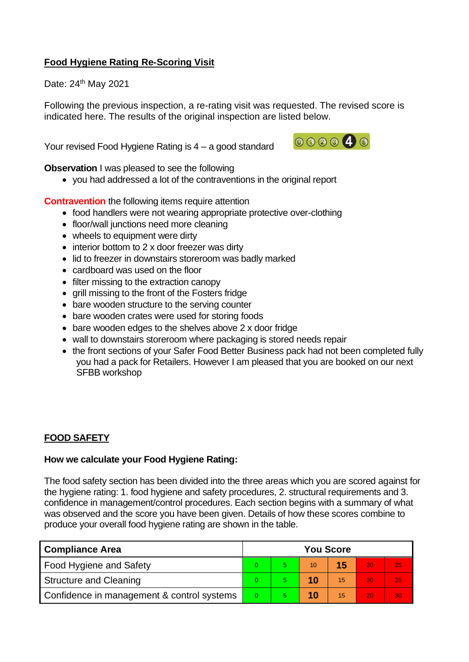# **Food Hygiene Rating Re-Scoring Visit**

Date: 24<sup>th</sup> May 2021

Following the previous inspection, a re-rating visit was requested. The revised score is indicated here. The results of the original inspection are listed below.

Your revised Food Hygiene Rating is 4 – a good standard



**Observation** I was pleased to see the following

• you had addressed a lot of the contraventions in the original report

**Contravention** the following items require attention

- food handlers were not wearing appropriate protective over-clothing
- floor/wall junctions need more cleaning
- wheels to equipment were dirty
- interior bottom to 2 x door freezer was dirty
- lid to freezer in downstairs storeroom was badly marked
- cardboard was used on the floor
- filter missing to the extraction canopy
- grill missing to the front of the Fosters fridge
- bare wooden structure to the serving counter
- bare wooden crates were used for storing foods
- bare wooden edges to the shelves above 2 x door fridge
- wall to downstairs storeroom where packaging is stored needs repair
- • the front sections of your Safer Food Better Business pack had not been completed fully you had a pack for Retailers. However I am pleased that you are booked on our next SFBB workshop

## **FOOD SAFETY**

## **How we calculate your Food Hygiene Rating:**

 The food safety section has been divided into the three areas which you are scored against for the hygiene rating: 1. food hygiene and safety procedures, 2. structural requirements and 3. confidence in management/control procedures. Each section begins with a summary of what was observed and the score you have been given. Details of how these scores combine to produce your overall food hygiene rating are shown in the table.

| <b>Compliance Area</b>                     |  | <b>You Score</b> |    |    |    |    |  |
|--------------------------------------------|--|------------------|----|----|----|----|--|
| Food Hygiene and Safety                    |  |                  | 10 |    | 20 | 25 |  |
| <b>Structure and Cleaning</b>              |  |                  |    | 15 | 20 | 25 |  |
| Confidence in management & control systems |  |                  |    | 15 | 20 | 30 |  |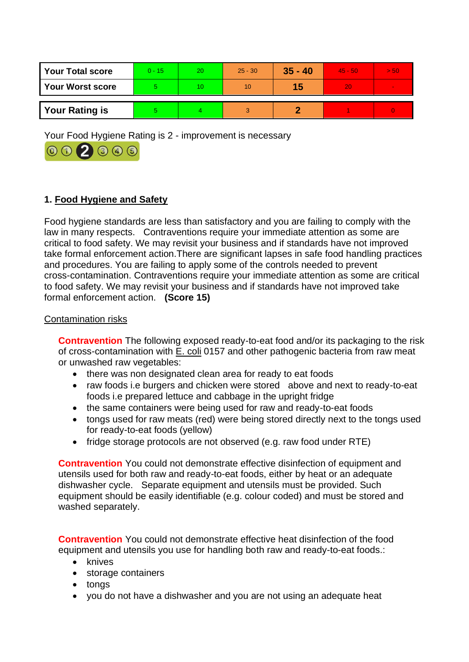| <b>Your Total score</b> | $0 - 15$ | 20 | $25 - 30$ | $35 - 40$ | 45 - 507 | > 50 |
|-------------------------|----------|----|-----------|-----------|----------|------|
| <b>Your Worst score</b> |          | 10 | 10        | 15        | 20       |      |
| <b>Your Rating is</b>   |          |    |           |           |          |      |

Your Food Hygiene Rating is 2 - improvement is necessary



# **1. Food Hygiene and Safety**

 law in many respects. Contraventions require your immediate attention as some are Food hygiene standards are less than satisfactory and you are failing to comply with the critical to food safety. We may revisit your business and if standards have not improved take formal enforcement action.There are significant lapses in safe food handling practices and procedures. You are failing to apply some of the controls needed to prevent cross-contamination. Contraventions require your immediate attention as some are critical to food safety. We may revisit your business and if standards have not improved take formal enforcement action. **(Score 15)** 

## Contamination risks

**Contravention** The following exposed ready-to-eat food and/or its packaging to the risk of cross-contamination with  $E$ . coli 0157 and other pathogenic bacteria from raw meat or unwashed raw vegetables:

- there was non designated clean area for ready to eat foods
- • raw foods i.e burgers and chicken were stored above and next to ready-to-eat foods i.e prepared lettuce and cabbage in the upright fridge
- the same containers were being used for raw and ready-to-eat foods
- tongs used for raw meats (red) were being stored directly next to the tongs used for ready-to-eat foods (yellow)
- fridge storage protocols are not observed (e.g. raw food under RTE)

 equipment should be easily identifiable (e.g. colour coded) and must be stored and **Contravention** You could not demonstrate effective disinfection of equipment and utensils used for both raw and ready-to-eat foods, either by heat or an adequate dishwasher cycle. Separate equipment and utensils must be provided. Such washed separately.

 **Contravention** You could not demonstrate effective heat disinfection of the food equipment and utensils you use for handling both raw and ready-to-eat foods.:

- knives
- storage containers
- tongs
- you do not have a dishwasher and you are not using an adequate heat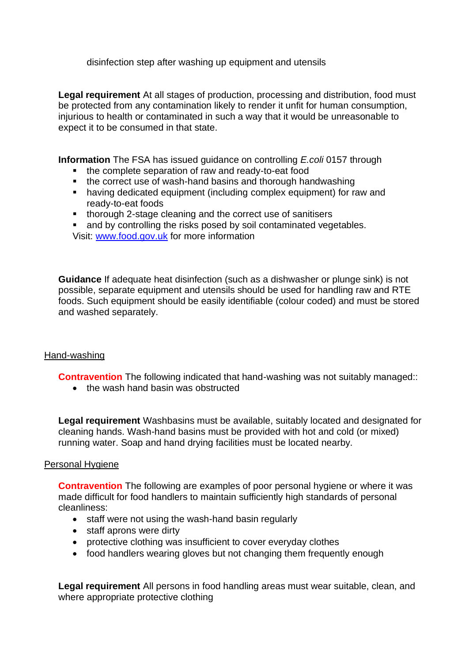disinfection step after washing up equipment and utensils

**Legal requirement** At all stages of production, processing and distribution, food must be protected from any contamination likely to render it unfit for human consumption, injurious to health or contaminated in such a way that it would be unreasonable to expect it to be consumed in that state.

**Information** The FSA has issued guidance on controlling *E.coli* 0157 through

- the complete separation of raw and ready-to-eat food
- the correct use of wash-hand basins and thorough handwashing
- having dedicated equipment (including complex equipment) for raw and ready-to-eat foods
- thorough 2-stage cleaning and the correct use of sanitisers
- and by controlling the risks posed by soil contaminated vegetables. Visit: [www.food.gov.uk](http://www.food.gov.uk/) for more information

**Guidance** If adequate heat disinfection (such as a dishwasher or plunge sink) is not possible, separate equipment and utensils should be used for handling raw and RTE foods. Such equipment should be easily identifiable (colour coded) and must be stored and washed separately.

## Hand-washing

**Contravention** The following indicated that hand-washing was not suitably managed:

• the wash hand basin was obstructed

**Legal requirement** Washbasins must be available, suitably located and designated for cleaning hands. Wash-hand basins must be provided with hot and cold (or mixed) running water. Soap and hand drying facilities must be located nearby.

## Personal Hygiene

**Contravention** The following are examples of poor personal hygiene or where it was made difficult for food handlers to maintain sufficiently high standards of personal cleanliness:

- staff were not using the wash-hand basin regularly
- staff aprons were dirty
- protective clothing was insufficient to cover everyday clothes
- food handlers wearing gloves but not changing them frequently enough

**Legal requirement** All persons in food handling areas must wear suitable, clean, and where appropriate protective clothing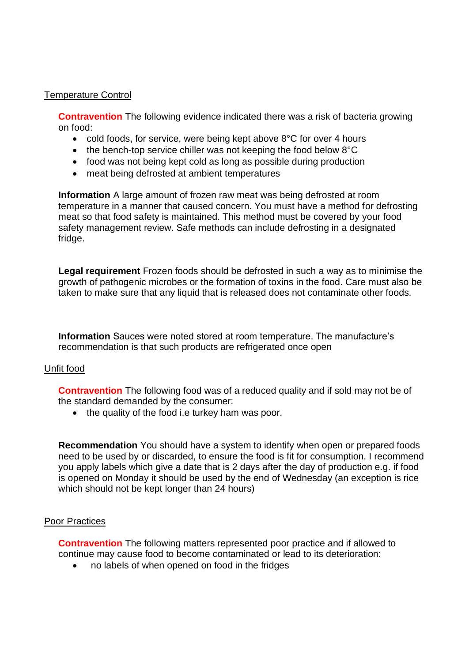## Temperature Control

**Contravention** The following evidence indicated there was a risk of bacteria growing on food:

- cold foods, for service, were being kept above 8°C for over 4 hours
- the bench-top service chiller was not keeping the food below 8°C
- food was not being kept cold as long as possible during production
- meat being defrosted at ambient temperatures

 temperature in a manner that caused concern. You must have a method for defrosting **Information** A large amount of frozen raw meat was being defrosted at room meat so that food safety is maintained. This method must be covered by your food safety management review. Safe methods can include defrosting in a designated fridge.

**Legal requirement** Frozen foods should be defrosted in such a way as to minimise the growth of pathogenic microbes or the formation of toxins in the food. Care must also be taken to make sure that any liquid that is released does not contaminate other foods.

**Information** Sauces were noted stored at room temperature. The manufacture's recommendation is that such products are refrigerated once open

## Unfit food

**Contravention** The following food was of a reduced quality and if sold may not be of the standard demanded by the consumer:

• the quality of the food i.e turkey ham was poor.

 **Recommendation** You should have a system to identify when open or prepared foods you apply labels which give a date that is 2 days after the day of production e.g. if food need to be used by or discarded, to ensure the food is fit for consumption. I recommend is opened on Monday it should be used by the end of Wednesday (an exception is rice which should not be kept longer than 24 hours)

## Poor Practices

**Contravention** The following matters represented poor practice and if allowed to continue may cause food to become contaminated or lead to its deterioration:

• no labels of when opened on food in the fridges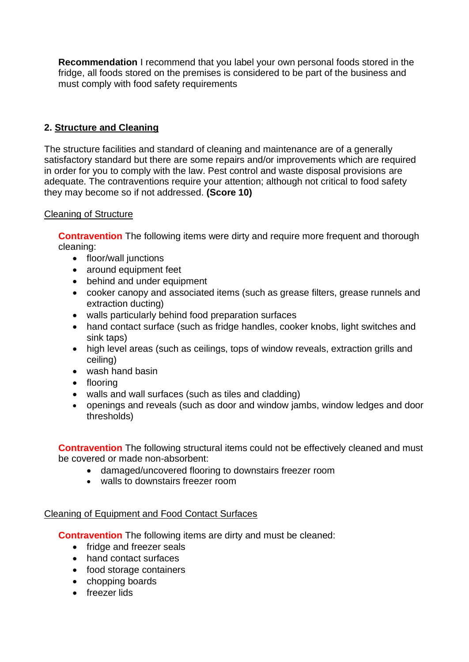**Recommendation** I recommend that you label your own personal foods stored in the fridge, all foods stored on the premises is considered to be part of the business and must comply with food safety requirements

# **2. Structure and Cleaning**

 satisfactory standard but there are some repairs and/or improvements which are required The structure facilities and standard of cleaning and maintenance are of a generally in order for you to comply with the law. Pest control and waste disposal provisions are adequate. The contraventions require your attention; although not critical to food safety they may become so if not addressed. **(Score 10)** 

## Cleaning of Structure

**Contravention** The following items were dirty and require more frequent and thorough cleaning:

- floor/wall junctions
- around equipment feet
- behind and under equipment
- cooker canopy and associated items (such as grease filters, grease runnels and extraction ducting)
- walls particularly behind food preparation surfaces
- hand contact surface (such as fridge handles, cooker knobs, light switches and sink taps)
- high level areas (such as ceilings, tops of window reveals, extraction grills and ceiling)
- wash hand basin
- flooring
- walls and wall surfaces (such as tiles and cladding)
- openings and reveals (such as door and window jambs, window ledges and door thresholds)

 be covered or made non-absorbent: **Contravention** The following structural items could not be effectively cleaned and must

- damaged/uncovered flooring to downstairs freezer room
- walls to downstairs freezer room

## Cleaning of Equipment and Food Contact Surfaces

**Contravention** The following items are dirty and must be cleaned:

- fridge and freezer seals
- hand contact surfaces
- food storage containers
- chopping boards
- freezer lids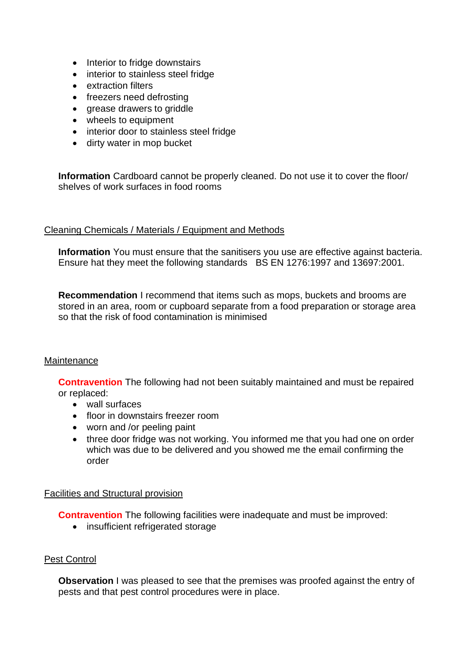- Interior to fridge downstairs
- interior to stainless steel fridge
- extraction filters
- freezers need defrosting
- grease drawers to griddle
- wheels to equipment
- interior door to stainless steel fridge
- dirty water in mop bucket

**Information** Cardboard cannot be properly cleaned. Do not use it to cover the floor/ shelves of work surfaces in food rooms

## Cleaning Chemicals / Materials / Equipment and Methods

 **Information** You must ensure that the sanitisers you use are effective against bacteria. Ensure hat they meet the following standards BS EN 1276:1997 and 13697:2001.

 stored in an area, room or cupboard separate from a food preparation or storage area **Recommendation** I recommend that items such as mops, buckets and brooms are so that the risk of food contamination is minimised

## **Maintenance**

**Contravention** The following had not been suitably maintained and must be repaired or replaced:

- wall surfaces
- floor in downstairs freezer room
- worn and /or peeling paint
- • three door fridge was not working. You informed me that you had one on order which was due to be delivered and you showed me the email confirming the order

## Facilities and Structural provision

**Contravention** The following facilities were inadequate and must be improved:

• insufficient refrigerated storage

## Pest Control

**Observation** I was pleased to see that the premises was proofed against the entry of pests and that pest control procedures were in place.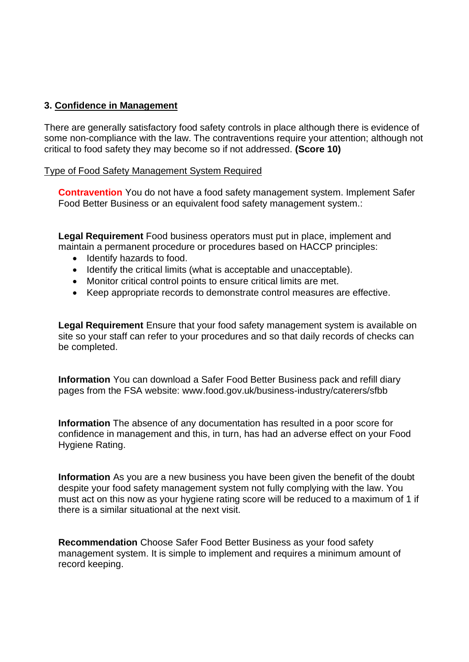## **3. Confidence in Management**

There are generally satisfactory food safety controls in place although there is evidence of some non-compliance with the law. The contraventions require your attention; although not critical to food safety they may become so if not addressed. **(Score 10)** 

#### Type of Food Safety Management System Required

**Contravention** You do not have a food safety management system. Implement Safer Food Better Business or an equivalent food safety management system.:

 maintain a permanent procedure or procedures based on HACCP principles: **Legal Requirement** Food business operators must put in place, implement and

- Identify hazards to food.
- Identify the critical limits (what is acceptable and unacceptable).
- Monitor critical control points to ensure critical limits are met.
- Keep appropriate records to demonstrate control measures are effective.

**Legal Requirement** Ensure that your food safety management system is available on site so your staff can refer to your procedures and so that daily records of checks can be completed.

**Information** You can download a Safer Food Better Business pack and refill diary pages from the FSA website: <www.food.gov.uk/business-industry/caterers/sfbb>

**Information** The absence of any documentation has resulted in a poor score for confidence in management and this, in turn, has had an adverse effect on your Food Hygiene Rating.

 **Information** As you are a new business you have been given the benefit of the doubt despite your food safety management system not fully complying with the law. You must act on this now as your hygiene rating score will be reduced to a maximum of 1 if there is a similar situational at the next visit.

**Recommendation** Choose Safer Food Better Business as your food safety management system. It is simple to implement and requires a minimum amount of record keeping.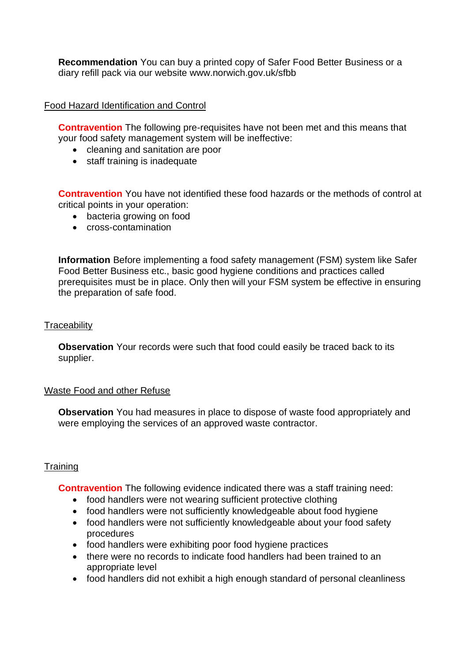**Recommendation** You can buy a printed copy of Safer Food Better Business or a diary refill pack via our website<www.norwich.gov.uk/sfbb>

## Food Hazard Identification and Control

**Contravention** The following pre-requisites have not been met and this means that your food safety management system will be ineffective:

- cleaning and sanitation are poor
- staff training is inadequate

**Contravention** You have not identified these food hazards or the methods of control at critical points in your operation:

- bacteria growing on food
- cross-contamination

**Information** Before implementing a food safety management (FSM) system like Safer Food Better Business etc., basic good hygiene conditions and practices called prerequisites must be in place. Only then will your FSM system be effective in ensuring the preparation of safe food.

#### **Traceability**

**Observation** Your records were such that food could easily be traced back to its supplier.

#### Waste Food and other Refuse

**Observation** You had measures in place to dispose of waste food appropriately and were employing the services of an approved waste contractor.

## **Training**

**Contravention** The following evidence indicated there was a staff training need:

- food handlers were not wearing sufficient protective clothing
- food handlers were not sufficiently knowledgeable about food hygiene
- food handlers were not sufficiently knowledgeable about your food safety procedures
- food handlers were exhibiting poor food hygiene practices
- • there were no records to indicate food handlers had been trained to an appropriate level
- food handlers did not exhibit a high enough standard of personal cleanliness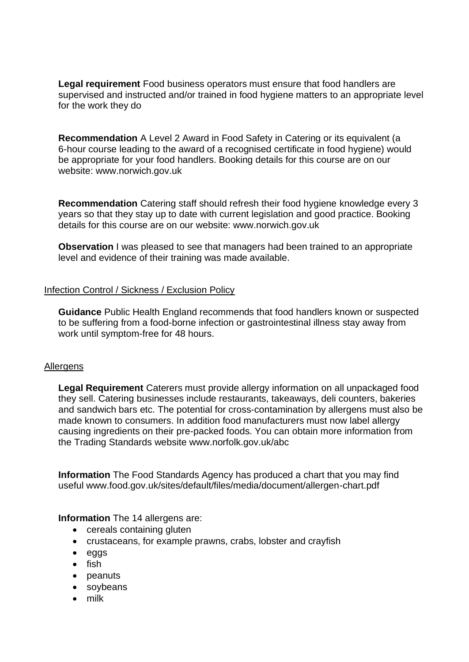supervised and instructed and/or trained in food hygiene matters to an appropriate level **Legal requirement** Food business operators must ensure that food handlers are for the work they do

 be appropriate for your food handlers. Booking details for this course are on our **Recommendation** A Level 2 Award in Food Safety in Catering or its equivalent (a 6-hour course leading to the award of a recognised certificate in food hygiene) would website: <www.norwich.gov.uk>

 years so that they stay up to date with current legislation and good practice. Booking **Recommendation** Catering staff should refresh their food hygiene knowledge every 3 details for this course are on our website:<www.norwich.gov.uk>

 level and evidence of their training was made available. **Observation** I was pleased to see that managers had been trained to an appropriate

## Infection Control / Sickness / Exclusion Policy

**Guidance** Public Health England recommends that food handlers known or suspected to be suffering from a food-borne infection or gastrointestinal illness stay away from work until symptom-free for 48 hours.

#### **Allergens**

**Legal Requirement** Caterers must provide allergy information on all unpackaged food they sell. Catering businesses include restaurants, takeaways, deli counters, bakeries and sandwich bars etc. The potential for cross-contamination by allergens must also be made known to consumers. In addition food manufacturers must now label allergy causing ingredients on their pre-packed foods. You can obtain more information from the Trading Standards website<www.norfolk.gov.uk/abc>

 **Information** The Food Standards Agency has produced a chart that you may find useful <www.food.gov.uk/sites/default/files/media/document/allergen-chart.pdf>

#### **Information** The 14 allergens are:

- cereals containing gluten
- crustaceans, for example prawns, crabs, lobster and crayfish
- eggs
- fish
- peanuts
- soybeans
- milk